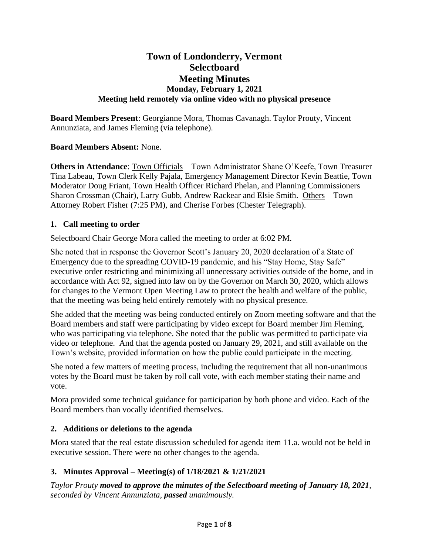# **Town of Londonderry, Vermont Selectboard Meeting Minutes Monday, February 1, 2021 Meeting held remotely via online video with no physical presence**

**Board Members Present**: Georgianne Mora, Thomas Cavanagh. Taylor Prouty, Vincent Annunziata, and James Fleming (via telephone).

## **Board Members Absent:** None.

**Others in Attendance**: Town Officials – Town Administrator Shane O'Keefe, Town Treasurer Tina Labeau, Town Clerk Kelly Pajala, Emergency Management Director Kevin Beattie, Town Moderator Doug Friant, Town Health Officer Richard Phelan, and Planning Commissioners Sharon Crossman (Chair), Larry Gubb, Andrew Rackear and Elsie Smith. Others – Town Attorney Robert Fisher (7:25 PM), and Cherise Forbes (Chester Telegraph).

#### **1. Call meeting to order**

Selectboard Chair George Mora called the meeting to order at 6:02 PM.

She noted that in response the Governor Scott's January 20, 2020 declaration of a State of Emergency due to the spreading COVID-19 pandemic, and his "Stay Home, Stay Safe" executive order restricting and minimizing all unnecessary activities outside of the home, and in accordance with Act 92, signed into law on by the Governor on March 30, 2020, which allows for changes to the Vermont Open Meeting Law to protect the health and welfare of the public, that the meeting was being held entirely remotely with no physical presence.

She added that the meeting was being conducted entirely on Zoom meeting software and that the Board members and staff were participating by video except for Board member Jim Fleming, who was participating via telephone. She noted that the public was permitted to participate via video or telephone. And that the agenda posted on January 29, 2021, and still available on the Town's website, provided information on how the public could participate in the meeting.

She noted a few matters of meeting process, including the requirement that all non-unanimous votes by the Board must be taken by roll call vote, with each member stating their name and vote.

Mora provided some technical guidance for participation by both phone and video. Each of the Board members than vocally identified themselves.

## **2. Additions or deletions to the agenda**

Mora stated that the real estate discussion scheduled for agenda item 11.a. would not be held in executive session. There were no other changes to the agenda.

## **3. Minutes Approval – Meeting(s) of 1/18/2021 & 1/21/2021**

*Taylor Prouty moved to approve the minutes of the Selectboard meeting of January 18, 2021, seconded by Vincent Annunziata, passed unanimously.*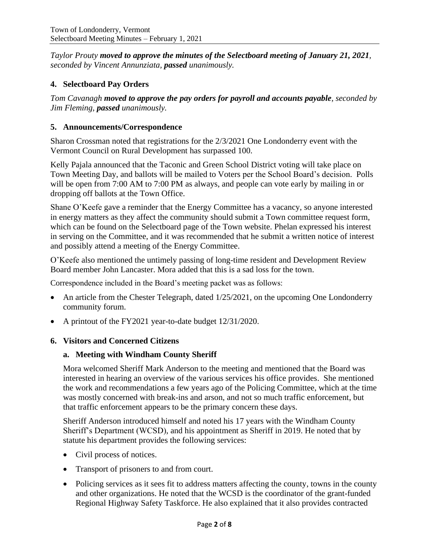*Taylor Prouty moved to approve the minutes of the Selectboard meeting of January 21, 2021, seconded by Vincent Annunziata, passed unanimously.*

# **4. Selectboard Pay Orders**

*Tom Cavanagh moved to approve the pay orders for payroll and accounts payable, seconded by Jim Fleming, passed unanimously.*

#### **5. Announcements/Correspondence**

Sharon Crossman noted that registrations for the 2/3/2021 One Londonderry event with the Vermont Council on Rural Development has surpassed 100.

Kelly Pajala announced that the Taconic and Green School District voting will take place on Town Meeting Day, and ballots will be mailed to Voters per the School Board's decision. Polls will be open from 7:00 AM to 7:00 PM as always, and people can vote early by mailing in or dropping off ballots at the Town Office.

Shane O'Keefe gave a reminder that the Energy Committee has a vacancy, so anyone interested in energy matters as they affect the community should submit a Town committee request form, which can be found on the Selectboard page of the Town website. Phelan expressed his interest in serving on the Committee, and it was recommended that he submit a written notice of interest and possibly attend a meeting of the Energy Committee.

O'Keefe also mentioned the untimely passing of long-time resident and Development Review Board member John Lancaster. Mora added that this is a sad loss for the town.

Correspondence included in the Board's meeting packet was as follows:

- An article from the Chester Telegraph, dated 1/25/2021, on the upcoming One Londonderry community forum.
- A printout of the FY2021 year-to-date budget 12/31/2020.

## **6. Visitors and Concerned Citizens**

#### **a. Meeting with Windham County Sheriff**

Mora welcomed Sheriff Mark Anderson to the meeting and mentioned that the Board was interested in hearing an overview of the various services his office provides. She mentioned the work and recommendations a few years ago of the Policing Committee, which at the time was mostly concerned with break-ins and arson, and not so much traffic enforcement, but that traffic enforcement appears to be the primary concern these days.

Sheriff Anderson introduced himself and noted his 17 years with the Windham County Sheriff's Department (WCSD), and his appointment as Sheriff in 2019. He noted that by statute his department provides the following services:

- Civil process of notices.
- Transport of prisoners to and from court.
- Policing services as it sees fit to address matters affecting the county, towns in the county and other organizations. He noted that the WCSD is the coordinator of the grant-funded Regional Highway Safety Taskforce. He also explained that it also provides contracted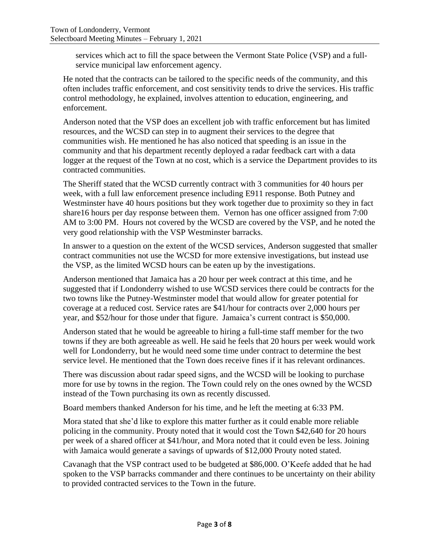services which act to fill the space between the Vermont State Police (VSP) and a fullservice municipal law enforcement agency.

He noted that the contracts can be tailored to the specific needs of the community, and this often includes traffic enforcement, and cost sensitivity tends to drive the services. His traffic control methodology, he explained, involves attention to education, engineering, and enforcement.

Anderson noted that the VSP does an excellent job with traffic enforcement but has limited resources, and the WCSD can step in to augment their services to the degree that communities wish. He mentioned he has also noticed that speeding is an issue in the community and that his department recently deployed a radar feedback cart with a data logger at the request of the Town at no cost, which is a service the Department provides to its contracted communities.

The Sheriff stated that the WCSD currently contract with 3 communities for 40 hours per week, with a full law enforcement presence including E911 response. Both Putney and Westminster have 40 hours positions but they work together due to proximity so they in fact share16 hours per day response between them. Vernon has one officer assigned from 7:00 AM to 3:00 PM. Hours not covered by the WCSD are covered by the VSP, and he noted the very good relationship with the VSP Westminster barracks.

In answer to a question on the extent of the WCSD services, Anderson suggested that smaller contract communities not use the WCSD for more extensive investigations, but instead use the VSP, as the limited WCSD hours can be eaten up by the investigations.

Anderson mentioned that Jamaica has a 20 hour per week contract at this time, and he suggested that if Londonderry wished to use WCSD services there could be contracts for the two towns like the Putney-Westminster model that would allow for greater potential for coverage at a reduced cost. Service rates are \$41/hour for contracts over 2,000 hours per year, and \$52/hour for those under that figure. Jamaica's current contract is \$50,000.

Anderson stated that he would be agreeable to hiring a full-time staff member for the two towns if they are both agreeable as well. He said he feels that 20 hours per week would work well for Londonderry, but he would need some time under contract to determine the best service level. He mentioned that the Town does receive fines if it has relevant ordinances.

There was discussion about radar speed signs, and the WCSD will be looking to purchase more for use by towns in the region. The Town could rely on the ones owned by the WCSD instead of the Town purchasing its own as recently discussed.

Board members thanked Anderson for his time, and he left the meeting at 6:33 PM.

Mora stated that she'd like to explore this matter further as it could enable more reliable policing in the community. Prouty noted that it would cost the Town \$42,640 for 20 hours per week of a shared officer at \$41/hour, and Mora noted that it could even be less. Joining with Jamaica would generate a savings of upwards of \$12,000 Prouty noted stated.

Cavanagh that the VSP contract used to be budgeted at \$86,000. O'Keefe added that he had spoken to the VSP barracks commander and there continues to be uncertainty on their ability to provided contracted services to the Town in the future.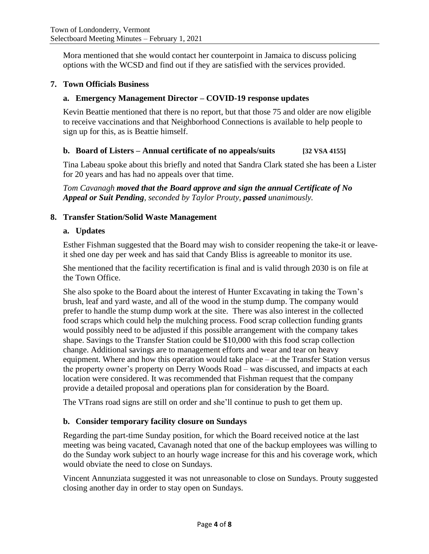Mora mentioned that she would contact her counterpoint in Jamaica to discuss policing options with the WCSD and find out if they are satisfied with the services provided.

## **7. Town Officials Business**

#### **a. Emergency Management Director – COVID-19 response updates**

Kevin Beattie mentioned that there is no report, but that those 75 and older are now eligible to receive vaccinations and that Neighborhood Connections is available to help people to sign up for this, as is Beattie himself.

## **b. Board of Listers – Annual certificate of no appeals/suits [32 VSA 4155]**

Tina Labeau spoke about this briefly and noted that Sandra Clark stated she has been a Lister for 20 years and has had no appeals over that time.

*Tom Cavanagh moved that the Board approve and sign the annual Certificate of No Appeal or Suit Pending, seconded by Taylor Prouty, passed unanimously.*

#### **8. Transfer Station/Solid Waste Management**

#### **a. Updates**

Esther Fishman suggested that the Board may wish to consider reopening the take-it or leaveit shed one day per week and has said that Candy Bliss is agreeable to monitor its use.

She mentioned that the facility recertification is final and is valid through 2030 is on file at the Town Office.

She also spoke to the Board about the interest of Hunter Excavating in taking the Town's brush, leaf and yard waste, and all of the wood in the stump dump. The company would prefer to handle the stump dump work at the site. There was also interest in the collected food scraps which could help the mulching process. Food scrap collection funding grants would possibly need to be adjusted if this possible arrangement with the company takes shape. Savings to the Transfer Station could be \$10,000 with this food scrap collection change. Additional savings are to management efforts and wear and tear on heavy equipment. Where and how this operation would take place – at the Transfer Station versus the property owner's property on Derry Woods Road – was discussed, and impacts at each location were considered. It was recommended that Fishman request that the company provide a detailed proposal and operations plan for consideration by the Board.

The VTrans road signs are still on order and she'll continue to push to get them up.

## **b. Consider temporary facility closure on Sundays**

Regarding the part-time Sunday position, for which the Board received notice at the last meeting was being vacated, Cavanagh noted that one of the backup employees was willing to do the Sunday work subject to an hourly wage increase for this and his coverage work, which would obviate the need to close on Sundays.

Vincent Annunziata suggested it was not unreasonable to close on Sundays. Prouty suggested closing another day in order to stay open on Sundays.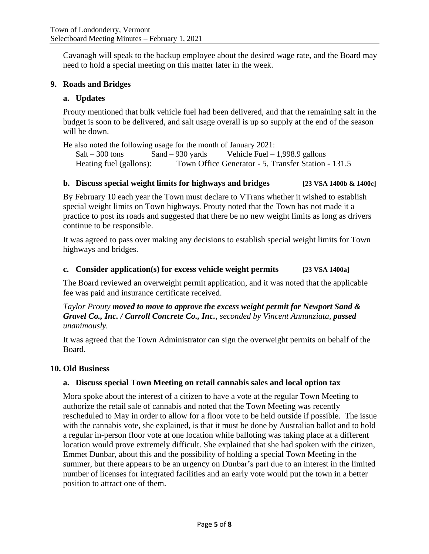Cavanagh will speak to the backup employee about the desired wage rate, and the Board may need to hold a special meeting on this matter later in the week.

#### **9. Roads and Bridges**

#### **a. Updates**

Prouty mentioned that bulk vehicle fuel had been delivered, and that the remaining salt in the budget is soon to be delivered, and salt usage overall is up so supply at the end of the season will be down.

He also noted the following usage for the month of January 2021:

 $Salt - 300$  tons  $Sand - 930$  yards Vehicle Fuel – 1,998.9 gallons Heating fuel (gallons): Town Office Generator - 5, Transfer Station - 131.5

#### **b. Discuss special weight limits for highways and bridges [23 VSA 1400b & 1400c]**

By February 10 each year the Town must declare to VTrans whether it wished to establish special weight limits on Town highways. Prouty noted that the Town has not made it a practice to post its roads and suggested that there be no new weight limits as long as drivers continue to be responsible.

It was agreed to pass over making any decisions to establish special weight limits for Town highways and bridges.

#### **c. Consider application(s) for excess vehicle weight permits [23 VSA 1400a]**

The Board reviewed an overweight permit application, and it was noted that the applicable fee was paid and insurance certificate received.

*Taylor Prouty moved to move to approve the excess weight permit for Newport Sand & Gravel Co., Inc. / Carroll Concrete Co., Inc., seconded by Vincent Annunziata, passed unanimously.*

It was agreed that the Town Administrator can sign the overweight permits on behalf of the Board.

#### **10. Old Business**

## **a. Discuss special Town Meeting on retail cannabis sales and local option tax**

Mora spoke about the interest of a citizen to have a vote at the regular Town Meeting to authorize the retail sale of cannabis and noted that the Town Meeting was recently rescheduled to May in order to allow for a floor vote to be held outside if possible. The issue with the cannabis vote, she explained, is that it must be done by Australian ballot and to hold a regular in-person floor vote at one location while balloting was taking place at a different location would prove extremely difficult. She explained that she had spoken with the citizen, Emmet Dunbar, about this and the possibility of holding a special Town Meeting in the summer, but there appears to be an urgency on Dunbar's part due to an interest in the limited number of licenses for integrated facilities and an early vote would put the town in a better position to attract one of them.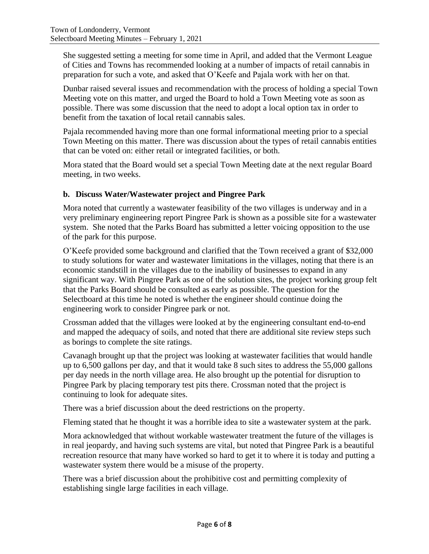She suggested setting a meeting for some time in April, and added that the Vermont League of Cities and Towns has recommended looking at a number of impacts of retail cannabis in preparation for such a vote, and asked that O'Keefe and Pajala work with her on that.

Dunbar raised several issues and recommendation with the process of holding a special Town Meeting vote on this matter, and urged the Board to hold a Town Meeting vote as soon as possible. There was some discussion that the need to adopt a local option tax in order to benefit from the taxation of local retail cannabis sales.

Pajala recommended having more than one formal informational meeting prior to a special Town Meeting on this matter. There was discussion about the types of retail cannabis entities that can be voted on: either retail or integrated facilities, or both.

Mora stated that the Board would set a special Town Meeting date at the next regular Board meeting, in two weeks.

## **b. Discuss Water/Wastewater project and Pingree Park**

Mora noted that currently a wastewater feasibility of the two villages is underway and in a very preliminary engineering report Pingree Park is shown as a possible site for a wastewater system. She noted that the Parks Board has submitted a letter voicing opposition to the use of the park for this purpose.

O'Keefe provided some background and clarified that the Town received a grant of \$32,000 to study solutions for water and wastewater limitations in the villages, noting that there is an economic standstill in the villages due to the inability of businesses to expand in any significant way. With Pingree Park as one of the solution sites, the project working group felt that the Parks Board should be consulted as early as possible. The question for the Selectboard at this time he noted is whether the engineer should continue doing the engineering work to consider Pingree park or not.

Crossman added that the villages were looked at by the engineering consultant end-to-end and mapped the adequacy of soils, and noted that there are additional site review steps such as borings to complete the site ratings.

Cavanagh brought up that the project was looking at wastewater facilities that would handle up to 6,500 gallons per day, and that it would take 8 such sites to address the 55,000 gallons per day needs in the north village area. He also brought up the potential for disruption to Pingree Park by placing temporary test pits there. Crossman noted that the project is continuing to look for adequate sites.

There was a brief discussion about the deed restrictions on the property.

Fleming stated that he thought it was a horrible idea to site a wastewater system at the park.

Mora acknowledged that without workable wastewater treatment the future of the villages is in real jeopardy, and having such systems are vital, but noted that Pingree Park is a beautiful recreation resource that many have worked so hard to get it to where it is today and putting a wastewater system there would be a misuse of the property.

There was a brief discussion about the prohibitive cost and permitting complexity of establishing single large facilities in each village.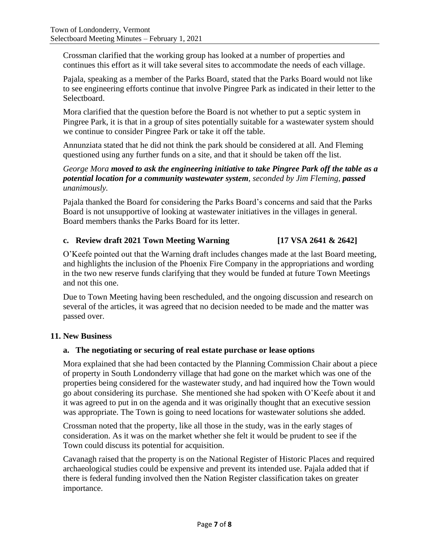Crossman clarified that the working group has looked at a number of properties and continues this effort as it will take several sites to accommodate the needs of each village.

Pajala, speaking as a member of the Parks Board, stated that the Parks Board would not like to see engineering efforts continue that involve Pingree Park as indicated in their letter to the Selectboard.

Mora clarified that the question before the Board is not whether to put a septic system in Pingree Park, it is that in a group of sites potentially suitable for a wastewater system should we continue to consider Pingree Park or take it off the table.

Annunziata stated that he did not think the park should be considered at all. And Fleming questioned using any further funds on a site, and that it should be taken off the list.

## *George Mora moved to ask the engineering initiative to take Pingree Park off the table as a potential location for a community wastewater system, seconded by Jim Fleming, passed unanimously.*

Pajala thanked the Board for considering the Parks Board's concerns and said that the Parks Board is not unsupportive of looking at wastewater initiatives in the villages in general. Board members thanks the Parks Board for its letter.

# **c. Review draft 2021 Town Meeting Warning [17 VSA 2641 & 2642]**

O'Keefe pointed out that the Warning draft includes changes made at the last Board meeting, and highlights the inclusion of the Phoenix Fire Company in the appropriations and wording in the two new reserve funds clarifying that they would be funded at future Town Meetings and not this one.

Due to Town Meeting having been rescheduled, and the ongoing discussion and research on several of the articles, it was agreed that no decision needed to be made and the matter was passed over.

## **11. New Business**

## **a. The negotiating or securing of real estate purchase or lease options**

Mora explained that she had been contacted by the Planning Commission Chair about a piece of property in South Londonderry village that had gone on the market which was one of the properties being considered for the wastewater study, and had inquired how the Town would go about considering its purchase. She mentioned she had spoken with O'Keefe about it and it was agreed to put in on the agenda and it was originally thought that an executive session was appropriate. The Town is going to need locations for wastewater solutions she added.

Crossman noted that the property, like all those in the study, was in the early stages of consideration. As it was on the market whether she felt it would be prudent to see if the Town could discuss its potential for acquisition.

Cavanagh raised that the property is on the National Register of Historic Places and required archaeological studies could be expensive and prevent its intended use. Pajala added that if there is federal funding involved then the Nation Register classification takes on greater importance.